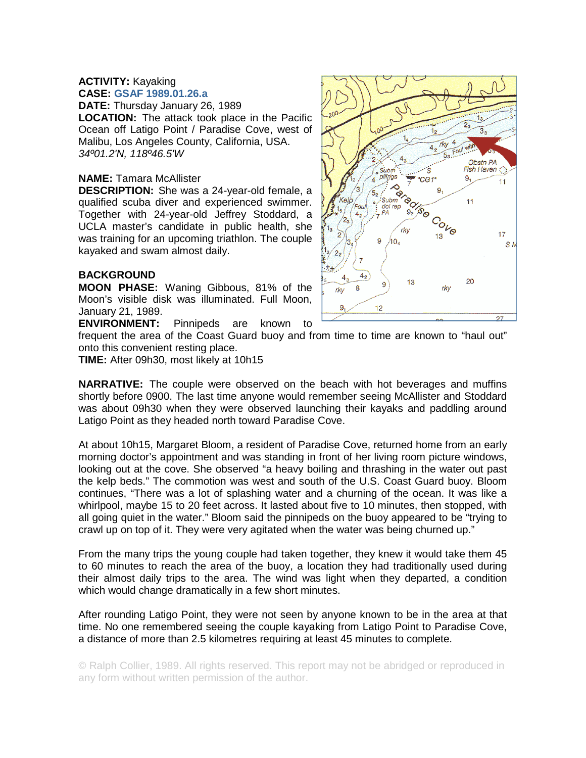## **ACTIVITY:** Kayaking **CASE: GSAF 1989.01.26.a**

**DATE:** Thursday January 26, 1989

**LOCATION:** The attack took place in the Pacific Ocean off Latigo Point / Paradise Cove, west of Malibu, Los Angeles County, California, USA. *34º01.2'N, 118º46.5'W* 

## **NAME:** Tamara McAllister

**DESCRIPTION:** She was a 24-year-old female, a qualified scuba diver and experienced swimmer. Together with 24-year-old Jeffrey Stoddard, a UCLA master's candidate in public health, she was training for an upcoming triathlon. The couple kayaked and swam almost daily.

## **BACKGROUND**

**MOON PHASE:** Waning Gibbous, 81% of the Moon's visible disk was illuminated. Full Moon, January 21, 1989.

**ENVIRONMENT:** Pinnipeds are known to

frequent the area of the Coast Guard buoy and from time to time are known to "haul out" onto this convenient resting place.

**TIME:** After 09h30, most likely at 10h15

**NARRATIVE:** The couple were observed on the beach with hot beverages and muffins shortly before 0900. The last time anyone would remember seeing McAllister and Stoddard was about 09h30 when they were observed launching their kayaks and paddling around Latigo Point as they headed north toward Paradise Cove.

At about 10h15, Margaret Bloom, a resident of Paradise Cove, returned home from an early morning doctor's appointment and was standing in front of her living room picture windows, looking out at the cove. She observed "a heavy boiling and thrashing in the water out past the kelp beds." The commotion was west and south of the U.S. Coast Guard buoy. Bloom continues, "There was a lot of splashing water and a churning of the ocean. It was like a whirlpool, maybe 15 to 20 feet across. It lasted about five to 10 minutes, then stopped, with all going quiet in the water." Bloom said the pinnipeds on the buoy appeared to be "trying to crawl up on top of it. They were very agitated when the water was being churned up."

From the many trips the young couple had taken together, they knew it would take them 45 to 60 minutes to reach the area of the buoy, a location they had traditionally used during their almost daily trips to the area. The wind was light when they departed, a condition which would change dramatically in a few short minutes.

After rounding Latigo Point, they were not seen by anyone known to be in the area at that time. No one remembered seeing the couple kayaking from Latigo Point to Paradise Cove, a distance of more than 2.5 kilometres requiring at least 45 minutes to complete.

© Ralph Collier, 1989. All rights reserved. This report may not be abridged or reproduced in any form without written permission of the author.

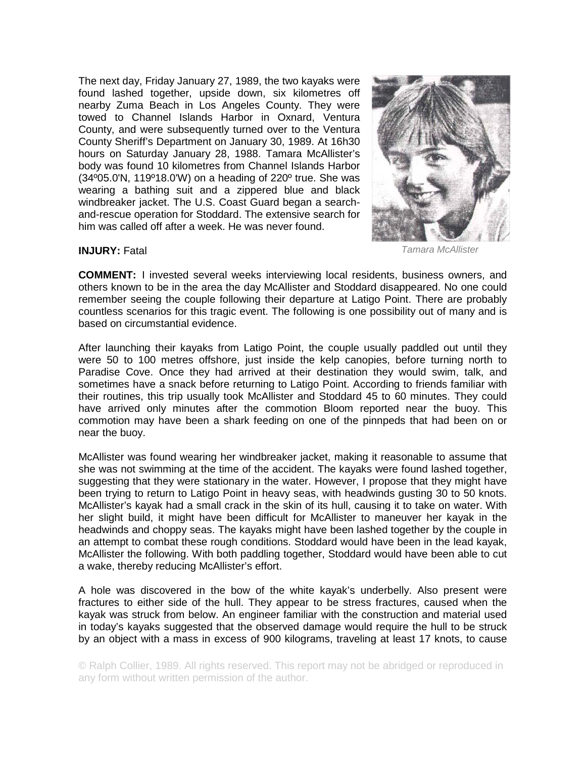The next day, Friday January 27, 1989, the two kayaks were found lashed together, upside down, six kilometres off nearby Zuma Beach in Los Angeles County. They were towed to Channel Islands Harbor in Oxnard, Ventura County, and were subsequently turned over to the Ventura County Sheriff's Department on January 30, 1989. At 16h30 hours on Saturday January 28, 1988. Tamara McAllister's body was found 10 kilometres from Channel Islands Harbor (34º05.0'N, 119º18.0'W) on a heading of 220º true. She was wearing a bathing suit and a zippered blue and black windbreaker jacket. The U.S. Coast Guard began a searchand-rescue operation for Stoddard. The extensive search for him was called off after a week. He was never found.



*Tamara McAllister*

## **INJURY:** Fatal

**COMMENT:** I invested several weeks interviewing local residents, business owners, and others known to be in the area the day McAllister and Stoddard disappeared. No one could remember seeing the couple following their departure at Latigo Point. There are probably countless scenarios for this tragic event. The following is one possibility out of many and is based on circumstantial evidence.

After launching their kayaks from Latigo Point, the couple usually paddled out until they were 50 to 100 metres offshore, just inside the kelp canopies, before turning north to Paradise Cove. Once they had arrived at their destination they would swim, talk, and sometimes have a snack before returning to Latigo Point. According to friends familiar with their routines, this trip usually took McAllister and Stoddard 45 to 60 minutes. They could have arrived only minutes after the commotion Bloom reported near the buoy. This commotion may have been a shark feeding on one of the pinnpeds that had been on or near the buoy.

McAllister was found wearing her windbreaker jacket, making it reasonable to assume that she was not swimming at the time of the accident. The kayaks were found lashed together, suggesting that they were stationary in the water. However, I propose that they might have been trying to return to Latigo Point in heavy seas, with headwinds gusting 30 to 50 knots. McAllister's kayak had a small crack in the skin of its hull, causing it to take on water. With her slight build, it might have been difficult for McAllister to maneuver her kayak in the headwinds and choppy seas. The kayaks might have been lashed together by the couple in an attempt to combat these rough conditions. Stoddard would have been in the lead kayak, McAllister the following. With both paddling together, Stoddard would have been able to cut a wake, thereby reducing McAllister's effort.

A hole was discovered in the bow of the white kayak's underbelly. Also present were fractures to either side of the hull. They appear to be stress fractures, caused when the kayak was struck from below. An engineer familiar with the construction and material used in today's kayaks suggested that the observed damage would require the hull to be struck by an object with a mass in excess of 900 kilograms, traveling at least 17 knots, to cause

© Ralph Collier, 1989. All rights reserved. This report may not be abridged or reproduced in any form without written permission of the author.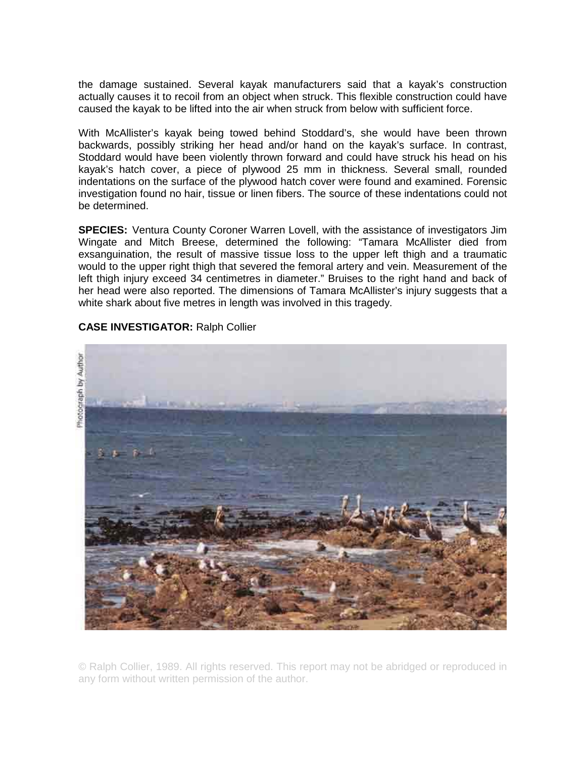the damage sustained. Several kayak manufacturers said that a kayak's construction actually causes it to recoil from an object when struck. This flexible construction could have caused the kayak to be lifted into the air when struck from below with sufficient force.

With McAllister's kayak being towed behind Stoddard's, she would have been thrown backwards, possibly striking her head and/or hand on the kayak's surface. In contrast, Stoddard would have been violently thrown forward and could have struck his head on his kayak's hatch cover, a piece of plywood 25 mm in thickness. Several small, rounded indentations on the surface of the plywood hatch cover were found and examined. Forensic investigation found no hair, tissue or linen fibers. The source of these indentations could not be determined.

**SPECIES:** Ventura County Coroner Warren Lovell, with the assistance of investigators Jim Wingate and Mitch Breese, determined the following: "Tamara McAllister died from exsanguination, the result of massive tissue loss to the upper left thigh and a traumatic would to the upper right thigh that severed the femoral artery and vein. Measurement of the left thigh injury exceed 34 centimetres in diameter." Bruises to the right hand and back of her head were also reported. The dimensions of Tamara McAllister's injury suggests that a white shark about five metres in length was involved in this tragedy.



**CASE INVESTIGATOR:** Ralph Collier

© Ralph Collier, 1989. All rights reserved. This report may not be abridged or reproduced in any form without written permission of the author.